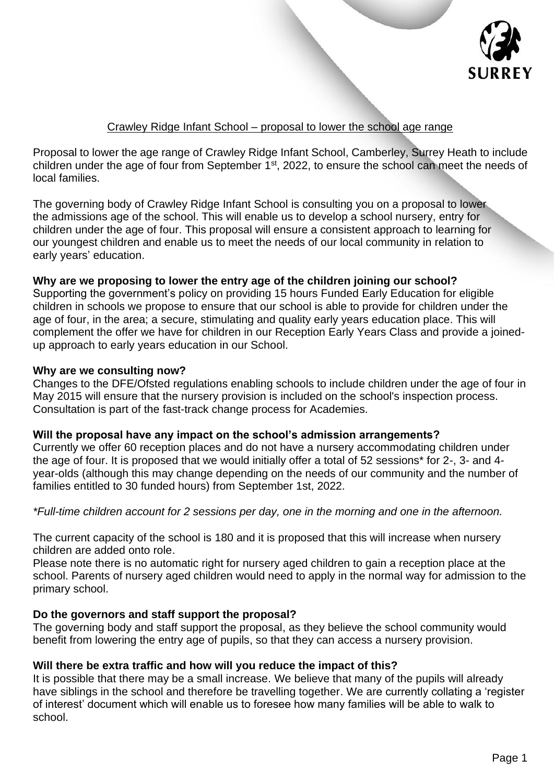

# Crawley Ridge Infant School – proposal to lower the school age range

Proposal to lower the age range of Crawley Ridge Infant School, Camberley, Surrey Heath to include children under the age of four from September  $1<sup>st</sup>$ , 2022, to ensure the school can meet the needs of local families.

The governing body of Crawley Ridge Infant School is consulting you on a proposal to lower the admissions age of the school. This will enable us to develop a school nursery, entry for children under the age of four. This proposal will ensure a consistent approach to learning for our youngest children and enable us to meet the needs of our local community in relation to early years' education.

## **Why are we proposing to lower the entry age of the children joining our school?**

Supporting the government's policy on providing 15 hours Funded Early Education for eligible children in schools we propose to ensure that our school is able to provide for children under the age of four, in the area; a secure, stimulating and quality early years education place. This will complement the offer we have for children in our Reception Early Years Class and provide a joinedup approach to early years education in our School.

#### **Why are we consulting now?**

Changes to the DFE/Ofsted regulations enabling schools to include children under the age of four in May 2015 will ensure that the nursery provision is included on the school's inspection process. Consultation is part of the fast-track change process for Academies.

## **Will the proposal have any impact on the school's admission arrangements?**

Currently we offer 60 reception places and do not have a nursery accommodating children under the age of four. It is proposed that we would initially offer a total of 52 sessions\* for 2-, 3- and 4 year-olds (although this may change depending on the needs of our community and the number of families entitled to 30 funded hours) from September 1st, 2022.

## *\*Full-time children account for 2 sessions per day, one in the morning and one in the afternoon.*

The current capacity of the school is 180 and it is proposed that this will increase when nursery children are added onto role.

Please note there is no automatic right for nursery aged children to gain a reception place at the school. Parents of nursery aged children would need to apply in the normal way for admission to the primary school.

## **Do the governors and staff support the proposal?**

The governing body and staff support the proposal, as they believe the school community would benefit from lowering the entry age of pupils, so that they can access a nursery provision.

## **Will there be extra traffic and how will you reduce the impact of this?**

It is possible that there may be a small increase. We believe that many of the pupils will already have siblings in the school and therefore be travelling together. We are currently collating a 'register of interest' document which will enable us to foresee how many families will be able to walk to school.